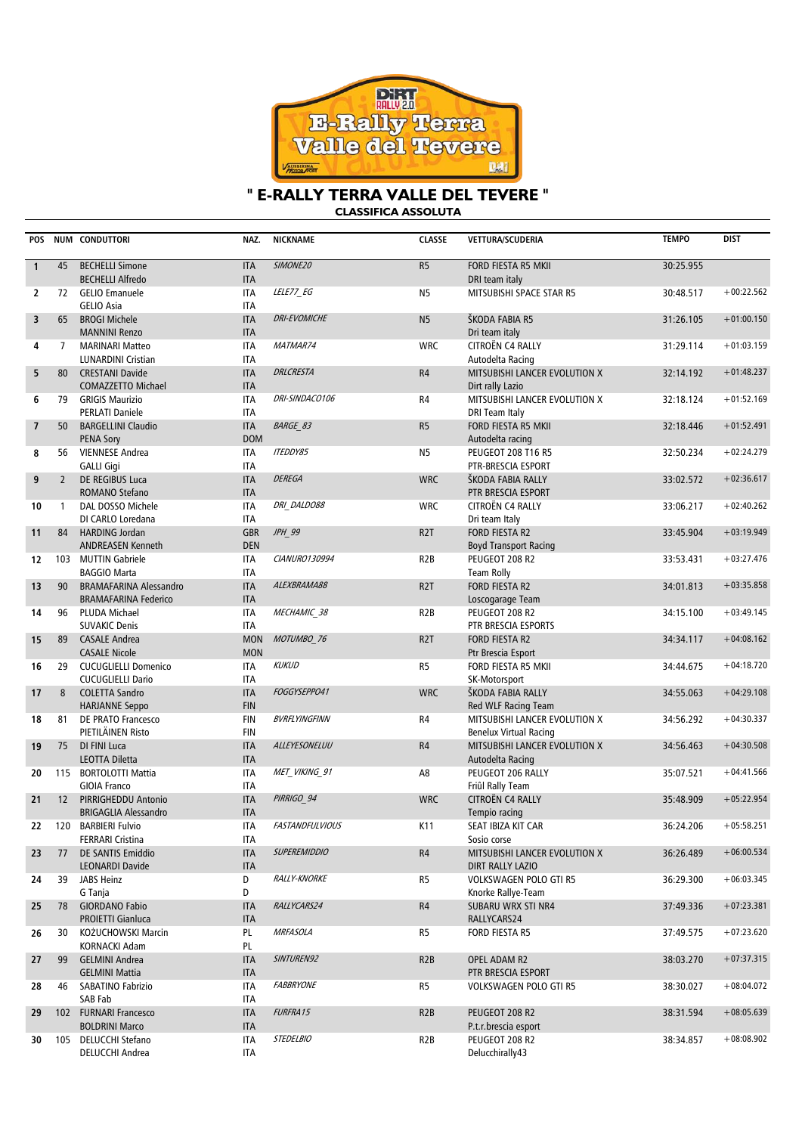

# **" E-RALLY TERRA VALLE DEL TEVERE "**

**CLASSIFICA ASSOLUTA**

| <b>POS</b>     |                | NUM CONDUTTORI                                               | NAZ.                     | <b>NICKNAME</b>        | <b>CLASSE</b>    | VETTURA/SCUDERIA                                         | <b>TEMPO</b> | <b>DIST</b>  |
|----------------|----------------|--------------------------------------------------------------|--------------------------|------------------------|------------------|----------------------------------------------------------|--------------|--------------|
| $\mathbf{1}$   | 45             | <b>BECHELLI Simone</b><br><b>BECHELLI Alfredo</b>            | <b>ITA</b><br><b>ITA</b> | SIMONE20               | R5               | <b>FORD FIESTA R5 MKII</b><br>DRI team italy             | 30:25.955    |              |
| $\overline{2}$ | 72             | <b>GELIO Emanuele</b><br><b>GELIO Asia</b>                   | <b>ITA</b><br><b>ITA</b> | LELE77 EG              | N <sub>5</sub>   | MITSUBISHI SPACE STAR R5                                 | 30:48.517    | $+00:22.562$ |
| 3              | 65             | <b>BROGI Michele</b><br><b>MANNINI Renzo</b>                 | <b>ITA</b><br><b>ITA</b> | <b>DRI-EVOMICHE</b>    | N <sub>5</sub>   | ŠKODA FABIA R5<br>Dri team italy                         | 31:26.105    | $+01:00.150$ |
| 4              | $\overline{7}$ | <b>MARINARI Matteo</b><br><b>LUNARDINI Cristian</b>          | <b>ITA</b><br><b>ITA</b> | MATMAR74               | <b>WRC</b>       | CITROËN C4 RALLY<br>Autodelta Racing                     | 31:29.114    | $+01:03.159$ |
| 5              | 80             | <b>CRESTANI Davide</b><br>COMAZZETTO Michael                 | <b>ITA</b><br><b>ITA</b> | <b>DRLCRESTA</b>       | R4               | MITSUBISHI LANCER EVOLUTION X<br>Dirt rally Lazio        | 32:14.192    | $+01:48.237$ |
| 6              | 79             | <b>GRIGIS Maurizio</b><br><b>PERLATI Daniele</b>             | <b>ITA</b><br><b>ITA</b> | DRI-SINDACO106         | R4               | MITSUBISHI LANCER EVOLUTION X<br>DRI Team Italy          | 32:18.124    | $+01:52.169$ |
| $\overline{7}$ | 50             | <b>BARGELLINI Claudio</b><br><b>PENA Sory</b>                | <b>ITA</b><br><b>DOM</b> | <b>BARGE 83</b>        | R <sub>5</sub>   | FORD FIESTA R5 MKII<br>Autodelta racing                  | 32:18.446    | $+01:52.491$ |
| 8              | 56             | <b>VIENNESE Andrea</b><br><b>GALLI Gigi</b>                  | <b>ITA</b><br><b>ITA</b> | <b>ITEDDY85</b>        | N <sub>5</sub>   | <b>PEUGEOT 208 T16 R5</b><br>PTR-BRESCIA ESPORT          | 32:50.234    | $+02:24.279$ |
| 9              | $\overline{2}$ | DE REGIBUS Luca<br>ROMANO Stefano                            | <b>ITA</b><br><b>ITA</b> | <b>DEREGA</b>          | <b>WRC</b>       | <b>SKODA FABIA RALLY</b><br>PTR BRESCIA ESPORT           | 33:02.572    | $+02:36.617$ |
| 10             | $\mathbf{1}$   | DAL DOSSO Michele<br>DI CARLO Loredana                       | <b>ITA</b><br><b>ITA</b> | DRI DALDO88            | <b>WRC</b>       | CITROËN C4 RALLY<br>Dri team Italy                       | 33:06.217    | $+02:40.262$ |
| 11             | 84             | <b>HARDING Jordan</b><br><b>ANDREASEN Kenneth</b>            | <b>GBR</b><br><b>DEN</b> | JPH_99                 | R <sub>2</sub> T | <b>FORD FIESTA R2</b><br><b>Boyd Transport Racing</b>    | 33:45.904    | $+03:19.949$ |
| 12             |                | 103 MUTTIN Gabriele<br><b>BAGGIO Marta</b>                   | <b>ITA</b><br><b>ITA</b> | CIANURO130994          | R <sub>2</sub> B | PEUGEOT 208 R2<br><b>Team Rolly</b>                      | 33:53.431    | $+03:27.476$ |
| 13             | 90             | <b>BRAMAFARINA Alessandro</b><br><b>BRAMAFARINA Federico</b> | <b>ITA</b><br><b>ITA</b> | ALEXBRAMA88            | R <sub>2</sub> T | <b>FORD FIESTA R2</b><br>Loscogarage Team                | 34:01.813    | $+03:35.858$ |
| 14             | 96             | PLUDA Michael<br><b>SUVAKIC Denis</b>                        | <b>ITA</b><br><b>ITA</b> | MECHAMIC 38            | R <sub>2</sub> B | PEUGEOT 208 R2<br>PTR BRESCIA ESPORTS                    | 34:15.100    | $+03:49.145$ |
| 15             | 89             | <b>CASALE Andrea</b><br><b>CASALE Nicole</b>                 | <b>MON</b><br><b>MON</b> | MOTUMBO 76             | R <sub>2</sub> T | FORD FIESTA R2<br>Ptr Brescia Esport                     | 34:34.117    | $+04:08.162$ |
| 16             | 29             | <b>CUCUGLIELLI Domenico</b><br><b>CUCUGLIELLI Dario</b>      | <b>ITA</b><br><b>ITA</b> | <b>KUKUD</b>           | R <sub>5</sub>   | FORD FIESTA R5 MKII<br>SK-Motorsport                     | 34:44.675    | $+04:18.720$ |
| 17             | 8              | <b>COLETTA Sandro</b><br><b>HARJANNE Seppo</b>               | <b>ITA</b><br><b>FIN</b> | FOGGYSEPPO41           | <b>WRC</b>       | ŠKODA FABIA RALLY<br>Red WLF Racing Team                 | 34:55.063    | $+04:29.108$ |
| 18             | 81             | DE PRATO Francesco<br>PIETILÄINEN Risto                      | <b>FIN</b><br><b>FIN</b> | <b>BVRFLYINGFINN</b>   | R4               | MITSUBISHI LANCER EVOLUTION X<br>Benelux Virtual Racing  | 34:56.292    | $+04:30.337$ |
| 19             | 75             | DI FINI Luca<br><b>LEOTTA Diletta</b>                        | <b>ITA</b><br><b>ITA</b> | ALLEYESONELUU          | R4               | MITSUBISHI LANCER EVOLUTION X<br>Autodelta Racing        | 34:56.463    | $+04:30.508$ |
| 20             |                | 115 BORTOLOTTI Mattia<br><b>GIOIA Franco</b>                 | <b>ITA</b><br><b>ITA</b> | MET_VIKING_91          | A8               | PEUGEOT 206 RALLY<br>Friûl Rally Team                    | 35:07.521    | $+04:41.566$ |
| 21             | 12             | PIRRIGHEDDU Antonio<br><b>BRIGAGLIA Alessandro</b>           | <b>ITA</b><br><b>ITA</b> | PIRRIGO 94             | <b>WRC</b>       | CITROËN C4 RALLY<br>Tempio racing                        | 35:48.909    | $+05:22.954$ |
| 22             | 120            | <b>BARBIERI Fulvio</b><br><b>FERRARI Cristina</b>            | <b>ITA</b><br>ITA        | <b>FASTANDFULVIOUS</b> | K11              | SEAT IBIZA KIT CAR<br>Sosio corse                        | 36:24.206    | $+05:58.251$ |
| 23             | 77             | <b>DE SANTIS Emiddio</b><br>LEONARDI Davide                  | <b>ITA</b><br><b>ITA</b> | <b>SUPEREMIDDIO</b>    | R4               | MITSUBISHI LANCER EVOLUTION X<br><b>DIRT RALLY LAZIO</b> | 36:26.489    | $+06:00.534$ |
| 24             | 39             | JABS Heinz<br>G Tanja                                        | D<br>D                   | <b>RALLY-KNORKE</b>    | R5               | <b>VOLKSWAGEN POLO GTI R5</b><br>Knorke Rallye-Team      | 36:29.300    | $+06:03.345$ |
| 25             | 78             | <b>GIORDANO Fabio</b><br><b>PROIETTI Gianluca</b>            | <b>ITA</b><br><b>ITA</b> | RALLYCARS24            | R4               | <b>SUBARU WRX STI NR4</b><br>RALLYCARS24                 | 37:49.336    | $+07:23.381$ |
| 26             | 30             | KOŻUCHOWSKI Marcin<br>KORNACKI Adam                          | PL<br>PL                 | <b>MRFASOLA</b>        | R5               | FORD FIESTA R5                                           | 37:49.575    | $+07:23.620$ |
| 27             | 99             | <b>GELMINI Andrea</b><br><b>GELMINI Mattia</b>               | <b>ITA</b><br><b>ITA</b> | SINTUREN92             | R <sub>2</sub> B | OPEL ADAM R2<br>PTR BRESCIA ESPORT                       | 38:03.270    | $+07:37.315$ |
| 28             | 46             | SABATINO Fabrizio<br>SAB Fab                                 | ITA<br><b>ITA</b>        | <b>FABBRYONE</b>       | R5               | <b>VOLKSWAGEN POLO GTI R5</b>                            | 38:30.027    | $+08:04.072$ |
| 29             |                | 102 FURNARI Francesco<br><b>BOLDRINI Marco</b>               | <b>ITA</b><br><b>ITA</b> | FURFRA15               | R <sub>2</sub> B | PEUGEOT 208 R2<br>P.t.r.brescia esport                   | 38:31.594    | $+08:05.639$ |
| 30             |                | 105 DELUCCHI Stefano<br>DELUCCHI Andrea                      | ITA<br>ITA               | <b>STEDELBIO</b>       | R <sub>2</sub> B | PEUGEOT 208 R2<br>Delucchirally43                        | 38:34.857    | $+08:08.902$ |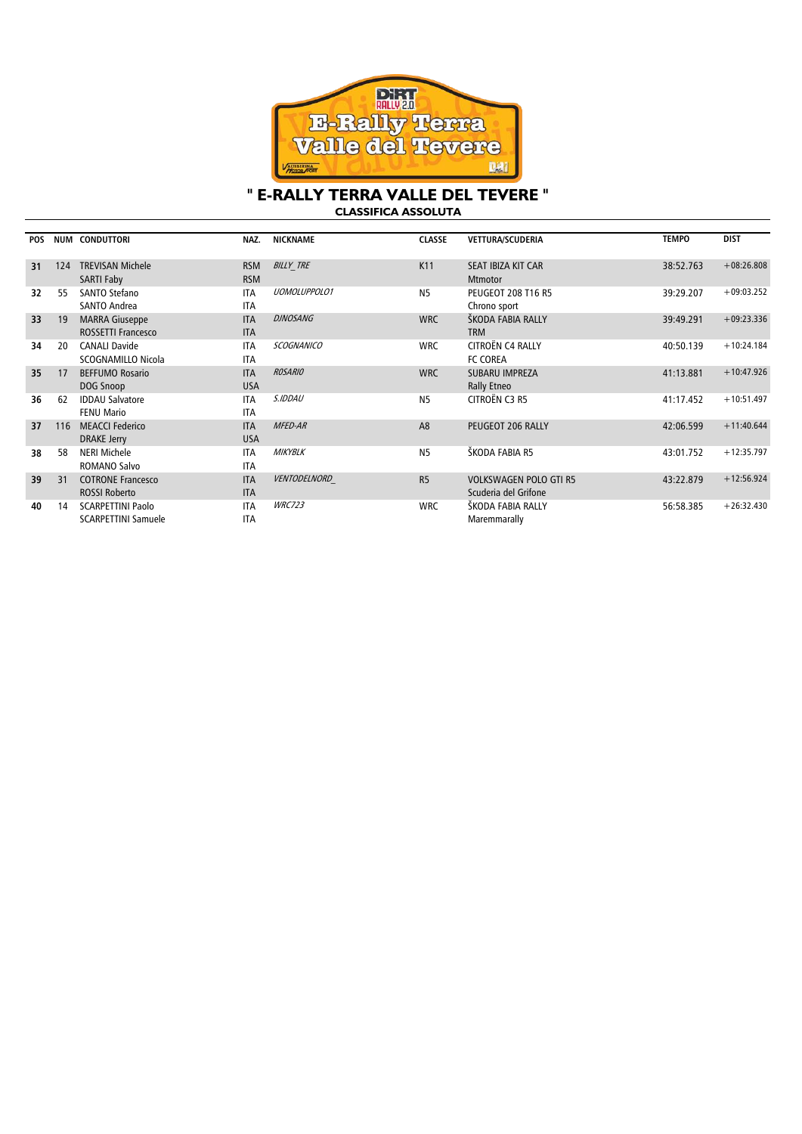

## " E-RALLY TERRA VALLE DEL TEVERE " CLASSIFICA ASSOLUTA

| <b>POS</b> | <b>NUM</b> | <b>CONDUTTORI</b>                                      | NAZ.                     | <b>NICKNAME</b>     | <b>CLASSE</b>  | <b>VETTURA/SCUDERIA</b>                               | <b>TEMPO</b> | <b>DIST</b>  |
|------------|------------|--------------------------------------------------------|--------------------------|---------------------|----------------|-------------------------------------------------------|--------------|--------------|
| 31         | 124        | <b>TREVISAN Michele</b><br><b>SARTI Faby</b>           | <b>RSM</b><br><b>RSM</b> | <b>BILLY TRE</b>    | K11            | SEAT IBIZA KIT CAR<br><b>Mtmotor</b>                  | 38:52.763    | $+08:26.808$ |
| 32         | 55         | <b>SANTO Stefano</b><br><b>SANTO Andrea</b>            | <b>ITA</b><br><b>ITA</b> | <b>UOMOLUPPOLO1</b> | <b>N5</b>      | <b>PEUGEOT 208 T16 R5</b><br>Chrono sport             | 39:29.207    | $+09:03.252$ |
| 33         | 19         | <b>MARRA Giuseppe</b><br><b>ROSSETTI Francesco</b>     | <b>ITA</b><br><b>ITA</b> | <b>DJNOSANG</b>     | <b>WRC</b>     | ŠKODA FABIA RALLY<br><b>TRM</b>                       | 39:49.291    | $+09:23.336$ |
| 34         | 20         | <b>CANALI Davide</b><br>SCOGNAMILLO Nicola             | <b>ITA</b><br><b>ITA</b> | <b>SCOGNANICO</b>   | <b>WRC</b>     | CITROËN C4 RALLY<br>FC COREA                          | 40:50.139    | $+10:24.184$ |
| 35         | 17         | <b>BEFFUMO Rosario</b><br>DOG Snoop                    | <b>ITA</b><br><b>USA</b> | <b>ROSARIO</b>      | <b>WRC</b>     | <b>SUBARU IMPREZA</b><br>Rally Etneo                  | 41:13.881    | $+10:47.926$ |
| 36         | 62         | <b>IDDAU Salvatore</b><br><b>FENU Mario</b>            | <b>ITA</b><br><b>ITA</b> | S.IDDAU             | <b>N5</b>      | CITROËN C3 R5                                         | 41:17.452    | $+10:51.497$ |
| 37         | 116        | <b>MEACCI Federico</b><br><b>DRAKE Jerry</b>           | <b>ITA</b><br><b>USA</b> | MFED-AR             | A <sub>8</sub> | PEUGEOT 206 RALLY                                     | 42:06.599    | $+11:40.644$ |
| 38         | 58         | NERI Michele<br><b>ROMANO Salvo</b>                    | <b>ITA</b><br><b>ITA</b> | <b>MIKYBLK</b>      | <b>N5</b>      | ŠKODA FABIA R5                                        | 43:01.752    | $+12:35.797$ |
| 39         | 31         | <b>COTRONE Francesco</b><br><b>ROSSI Roberto</b>       | <b>ITA</b><br><b>ITA</b> | <b>VENTODELNORD</b> | R <sub>5</sub> | <b>VOLKSWAGEN POLO GTI R5</b><br>Scuderia del Grifone | 43:22.879    | $+12:56.924$ |
| 40         | 14         | <b>SCARPETTINI Paolo</b><br><b>SCARPETTINI Samuele</b> | <b>ITA</b><br><b>ITA</b> | <b>WRC723</b>       | <b>WRC</b>     | ŠKODA FABIA RALLY<br>Maremmarally                     | 56:58.385    | $+26:32.430$ |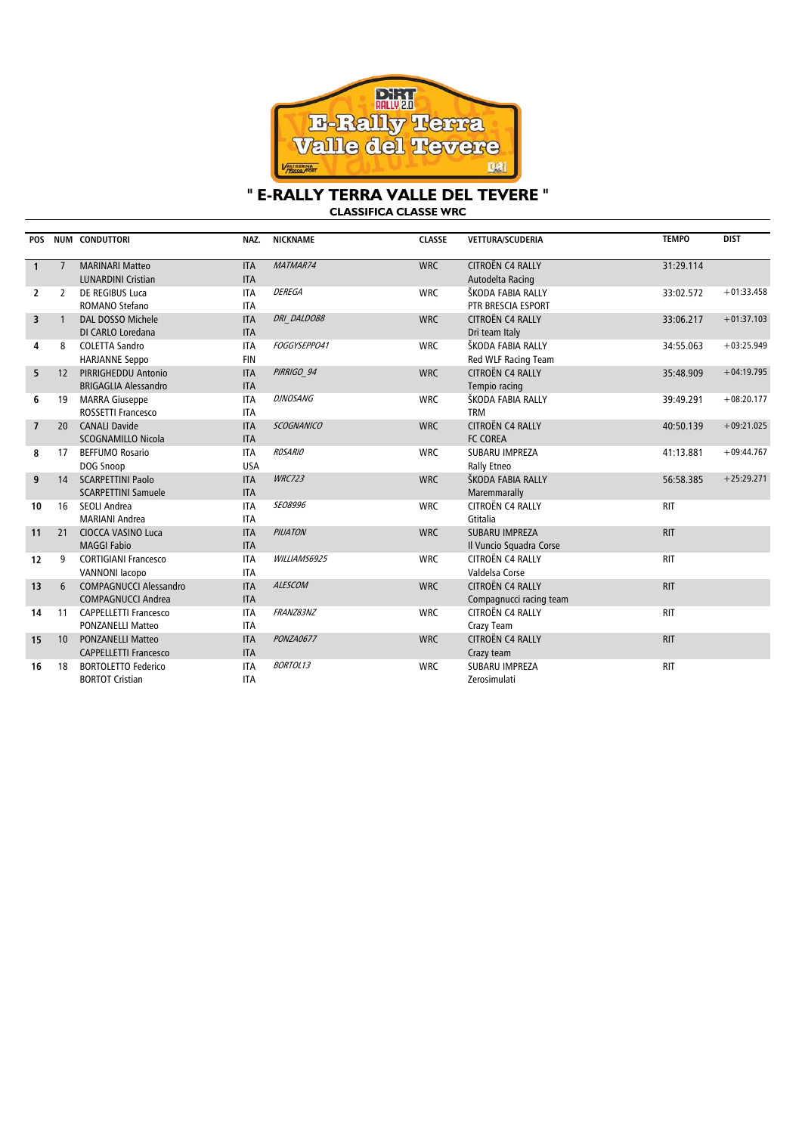

#### **" E-RALLY TERRA VALLE DEL TEVERE " CLASSIFICA CLASSE WRC**

**POS NUM CONDUTTORI NAZ. NICKNAME CLASSE VETTURA/SCUDERIA TEMPO DIST 1** 7 MARINARI Matteo LUNARDINI Cristian ITA ITA MATMAR74 WRC CITROËN C4 RALLY Autodelta Racing 31:29.114 **2** 2 DE REGIBUS Luca ROMANO Stefano ITA ITA DEREGA WRC ŠKODA FABIA RALLY PTR BRESCIA ESPORT 33:02.572 +01:33.458 **3** 1 DAL DOSSO Michele DI CARLO Loredana ITA ITA DRI\_DALDO88 WRC CITROËN C4 RALLY Dri team Italy  $33.06.217 +01:37.103$ **4** 8 COLETTA Sandro HARJANNE Seppo ITA FIN FOGGYSEPPO41 WRC ŠKODA FABIA RALLY Red WLF Racing Team 34:55.063 +03:25.949 **5** 12 PIRRIGHEDDU Antonio BRIGAGLIA Alessandro ITA ITA PIRRIGO\_94 WRC CITROËN C4 RALLY Tempio racing 35:48.909 +04:19.795 **6** 19 MARRA Giuseppe ROSSETTI Francesco ITA ITA DJNOSANG WRC ŠKODA FABIA RALLY TRM  $39:49.291 +08:20.177$ **7** 20 CANALI Davide SCOGNAMILLO Nicola ITA ITA SCOGNANICO WRC CITROËN C4 RALLY FC COREA 40:50.139 +09:21.025 **8** 17 BEFFUMO Rosario DOG Snoop ITA USA ROSARIO WRC SUBARU IMPREZA Rally Etneo  $41:13.881$  +09:44.767 **9** 14 SCARPETTINI Paolo SCARPETTINI Samuele ITA ITA WRC723 WRC ŠKODA FABIA RALLY Maremmarally 56:58.385 +25:29.271 **10** 16 SEOLI Andrea MARIANI Andrea ITA ITA SEO8996 WRC CITROËN CA RALLY Gtitalia RIT **11** 21 CIOCCA VASINO Luca MAGGI Fabio ITA ITA PIUATON WRC SUBARU IMPREZA Il Vuncio Squadra Corse RIT **12** 9 CORTIGIANI Francesco VANNONI Iacopo ITA ITA WILLIAMS6925 WRC CITROËN CA RALLY Valdelsa Corse RIT **13** 6 COMPAGNUCCI Alessandro COMPAGNUCCI Andrea ITA ITA ALESCOM WRC CITROËN C4 RALLY Compagnucci racing team RIT **14** 11 CAPPELLETTI Francesco PONZANELLI Matteo ITA ITA FRANZ83NZ<br>
WRC CITROËN C4 RALLY Crazy Team RIT **15** 10 PONZANELLI Matteo CAPPELLETTI Francesco ITA ITA PONZA0677 WRC CITROËN C4 RALLY Crazy team RIT **16** 18 BORTOLETTO Federico BORTOT Cristian ITA ITA BORTOL13 WRC SUBARU IMPREZA Zerosimulati RIT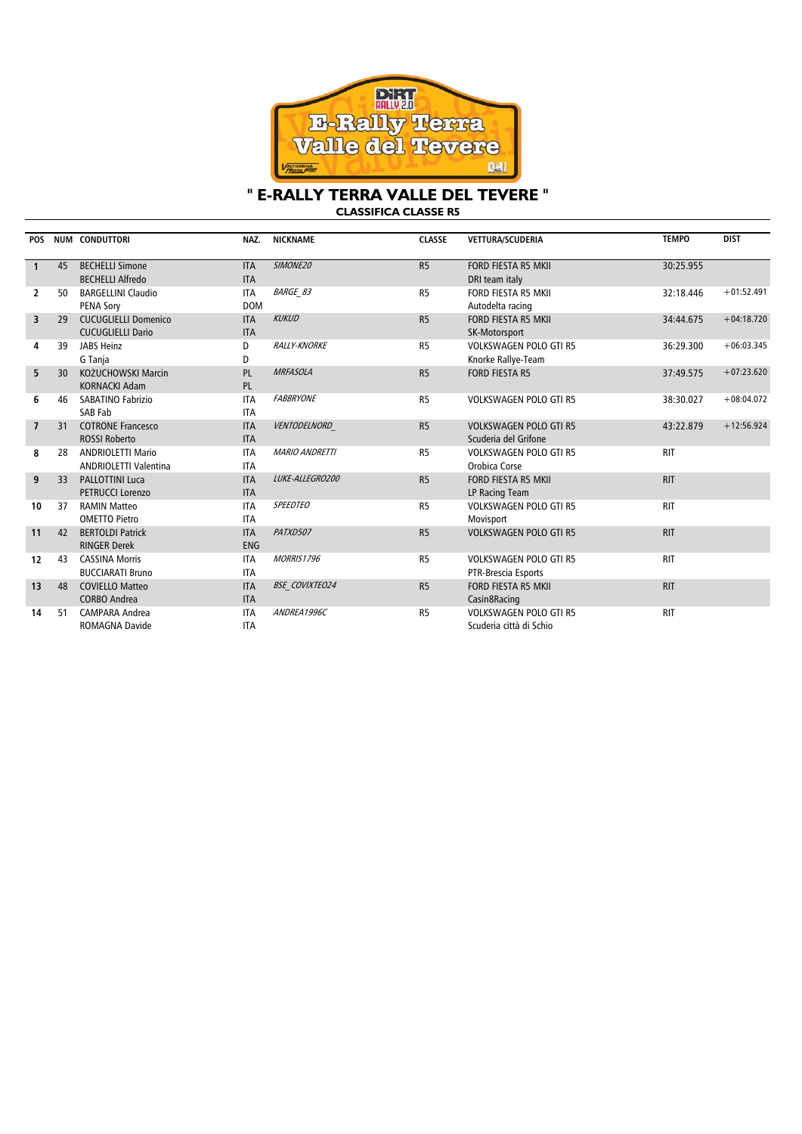

## **" E-RALLY TERRA VALLE DEL TEVERE " CLASSIFICA CLASSE R5**

| <b>POS</b>     |    | <b>NUM CONDUTTORI</b>        | NAZ.       | <b>NICKNAME</b>       | <b>CLASSE</b>  | <b>VETTURA/SCUDERIA</b>       | <b>TEMPO</b> | <b>DIST</b>  |
|----------------|----|------------------------------|------------|-----------------------|----------------|-------------------------------|--------------|--------------|
| $\mathbf{1}$   | 45 | <b>BECHELLI Simone</b>       | <b>ITA</b> | SIMONE20              | R5             | FORD FIESTA R5 MKII           | 30:25.955    |              |
|                |    | <b>BECHELLI Alfredo</b>      | <b>ITA</b> |                       |                | DRI team italy                |              |              |
| 2              | 50 | <b>BARGELLINI Claudio</b>    | <b>ITA</b> | <b>BARGE 83</b>       | R <sub>5</sub> | FORD FIESTA R5 MKII           | 32:18.446    | $+01:52.491$ |
|                |    | <b>PENA Sory</b>             | <b>DOM</b> |                       |                | Autodelta racing              |              |              |
| 3              | 29 | <b>CUCUGLIELLI Domenico</b>  | <b>ITA</b> | <b>KUKUD</b>          | R5             | <b>FORD FIESTA R5 MKII</b>    | 34:44.675    | $+04:18.720$ |
|                |    | <b>CUCUGLIELLI Dario</b>     | <b>ITA</b> |                       |                | SK-Motorsport                 |              |              |
| 4              | 39 | JABS Heinz                   | D          | <b>RALLY-KNORKE</b>   | R <sub>5</sub> | <b>VOLKSWAGEN POLO GTI R5</b> | 36:29.300    | $+06:03.345$ |
|                |    | G Tanja                      | D          |                       |                | Knorke Rallye-Team            |              |              |
| 5              | 30 | KOŻUCHOWSKI Marcin           | PL         | <b>MRFASOLA</b>       | R5             | <b>FORD FIESTA R5</b>         | 37:49.575    | $+07:23.620$ |
|                |    | <b>KORNACKI Adam</b>         | PL         |                       |                |                               |              |              |
| 6              | 46 | SABATINO Fabrizio            | <b>ITA</b> | <b>FABBRYONE</b>      | R <sub>5</sub> | <b>VOLKSWAGEN POLO GTI R5</b> | 38:30.027    | $+08:04.072$ |
|                |    | SAB Fab                      | <b>ITA</b> |                       |                |                               |              |              |
| $\overline{7}$ | 31 | <b>COTRONE Francesco</b>     | <b>ITA</b> | VENTODELNORD          | R <sub>5</sub> | <b>VOLKSWAGEN POLO GTI R5</b> | 43:22.879    | $+12:56.924$ |
|                |    | <b>ROSSI Roberto</b>         | <b>ITA</b> |                       |                | Scuderia del Grifone          |              |              |
| 8              | 28 | <b>ANDRIOLETTI Mario</b>     | <b>ITA</b> | <b>MARIO ANDRETTI</b> | R <sub>5</sub> | <b>VOLKSWAGEN POLO GTI R5</b> | <b>RIT</b>   |              |
|                |    | <b>ANDRIOLETTI Valentina</b> | <b>ITA</b> |                       |                | Orobica Corse                 |              |              |
| 9              | 33 | <b>PALLOTTINI Luca</b>       | <b>ITA</b> | LUKE-ALLEGRO200       | R <sub>5</sub> | <b>FORD FIESTA R5 MKII</b>    | <b>RIT</b>   |              |
|                |    | <b>PETRUCCI Lorenzo</b>      | <b>ITA</b> |                       |                | LP Racing Team                |              |              |
| 10             | 37 | <b>RAMIN Matteo</b>          | <b>ITA</b> | <b>SPEEDTEO</b>       | R <sub>5</sub> | <b>VOLKSWAGEN POLO GTI R5</b> | <b>RIT</b>   |              |
|                |    | <b>OMETTO Pietro</b>         | <b>ITA</b> |                       |                | Movisport                     |              |              |
| 11             | 42 | <b>BERTOLDI Patrick</b>      | <b>ITA</b> | PATXD507              | R <sub>5</sub> | <b>VOLKSWAGEN POLO GTI R5</b> | <b>RIT</b>   |              |
|                |    | <b>RINGER Derek</b>          | <b>ENG</b> |                       |                |                               |              |              |
| 12             | 43 | <b>CASSINA Morris</b>        | <b>ITA</b> | <b>MORRIS1796</b>     | R <sub>5</sub> | <b>VOLKSWAGEN POLO GTI R5</b> | <b>RIT</b>   |              |
|                |    | <b>BUCCIARATI Bruno</b>      | <b>ITA</b> |                       |                | PTR-Brescia Esports           |              |              |
| 13             | 48 | <b>COVIELLO Matteo</b>       | <b>ITA</b> | <b>BSE COVIXTEO24</b> | R <sub>5</sub> | <b>FORD FIESTA R5 MKII</b>    | <b>RIT</b>   |              |
|                |    | <b>CORBO Andrea</b>          | <b>ITA</b> |                       |                | Casin8Racing                  |              |              |
| 14             | 51 | <b>CAMPARA Andrea</b>        | <b>ITA</b> | ANDREA1996C           | R <sub>5</sub> | <b>VOLKSWAGEN POLO GTI R5</b> | <b>RIT</b>   |              |
|                |    | <b>ROMAGNA Davide</b>        | <b>ITA</b> |                       |                | Scuderia città di Schio       |              |              |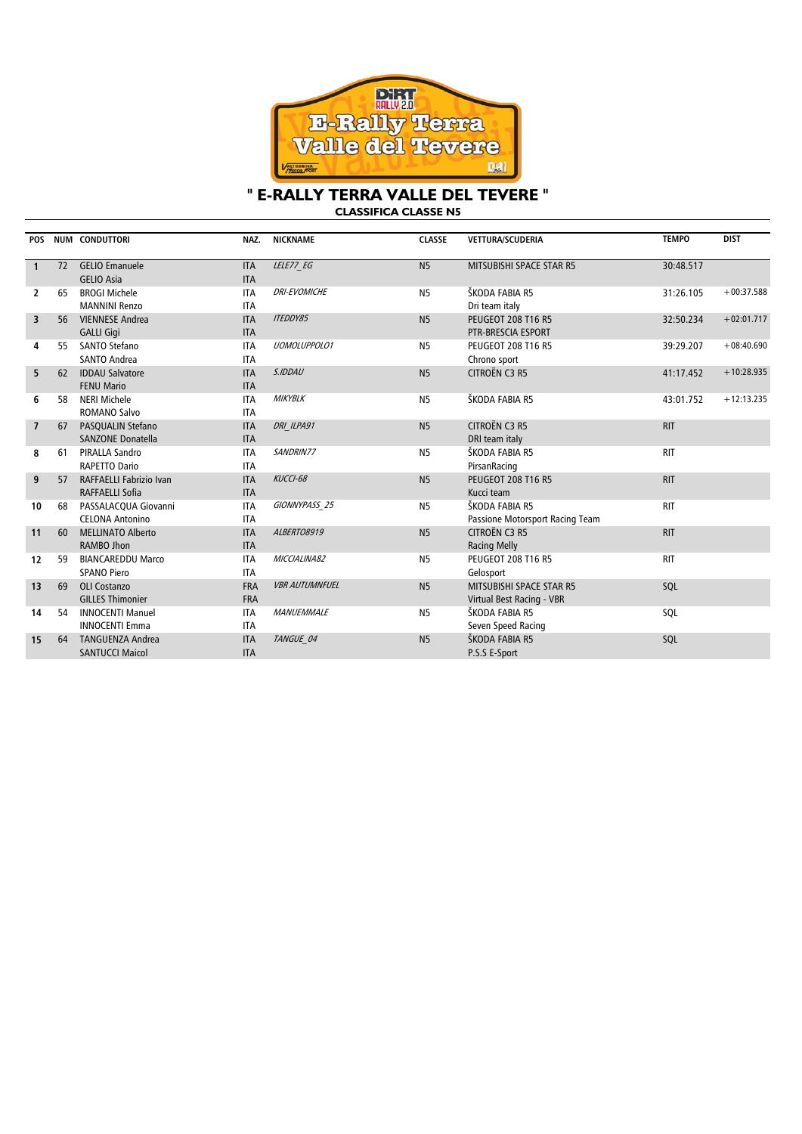

#### **" E-RALLY TERRA VALLE DEL TEVERE " CLASSIFICA CLASSE N5**

**POS NUM CONDUTTORI NAZ. NICKNAME CLASSE VETTURA/SCUDERIA TEMPO DIST 1** 72 GELIO Emanuele GELIO Asia ITA ITA LELE77 EG 30:48.517 **2** 65 BROGI Michele MANNINI Renzo ITA ITA DRI-EVOMICHE N5 N5 ŠKODA FABIA R5 Dri team italy 31:26.105 +00:37.588 **3** 56 VIENNESE Andrea GALLI Gigi ITA ITA ITEDDY85 N5 PEUGEOT 208 T16 R5 PTR-BRESCIA ESPORT 32:50.234 +02:01.717 **4** 55 SANTO Stefano SANTO Andrea ITA ITA UOMOLUPPOLO1 N5 PEUGEOT 208 T16 R5 Chrono sport 39:29.207 +08:40.690 **5** 62 IDDAU Salvatore FENU Mario ITA ITA S.IDDAU N5 CITROËN C3 R5 41:17.452 +10:28.935 **6** 58 NERI Michele ROMANO Salvo ITA ITA MIKYBLK N5 ŠKODA FABIA R5 43:01.752 +12:13.235 **7** 67 PASQUALIN Stefano SANZONE Donatella ITA ITA DRI\_ILPA91 N5 CITROËN C3 R5 DRI team italy RIT **8** 61 PIRALLA Sandro RAPETTO Dario ITA ITA SANDRIN77 N5 ŠKODA FABIA R5 PirsanRacing RIT **9** 57 RAFFAELLI Fabrizio Ivan RAFFAELLI Sofia ITA ITA KUCCI-68 N5 PEUGEOT 208 T16 R5 Kucci team RIT **10** 68 PASSALACQUA Giovanni CELONA Antonino ITA ITA GIONNYPASS\_25 N5 ŠKODA FABIA R5 Passione Motorsport Racing Team RIT **11** 60 MELLINATO Alberto RAMBO Jhon ITA ITA ALBERTO8919 N5 CITROËN C3 R5 Racing Melly RIT **12** 59 BIANCAREDDU Marco SPANO Piero ITA ITA MICCIALINA82 N5 PEUGEOT 208 T16 R5 Gelosport RIT **13** 69 OLI Costanzo GILLES Thimonier FRA FRA VBR AUTUMNFUEL N5 MITSUBISHI SPACE STAR R5 Virtual Best Racing - VBR SQL **14** 54 INNOCENTI Manuel INNOCENTI Emma ITA ITA MANUEMMALE N5 ŠKODA FABIA R5 Seven Speed Racing SQL **15** 64 TANGUENZA Andrea SANTUCCI Maicol ITA ITA TANGUE 04 N5 ŠKODA FABIA R5 P.S.S E-Sport SQL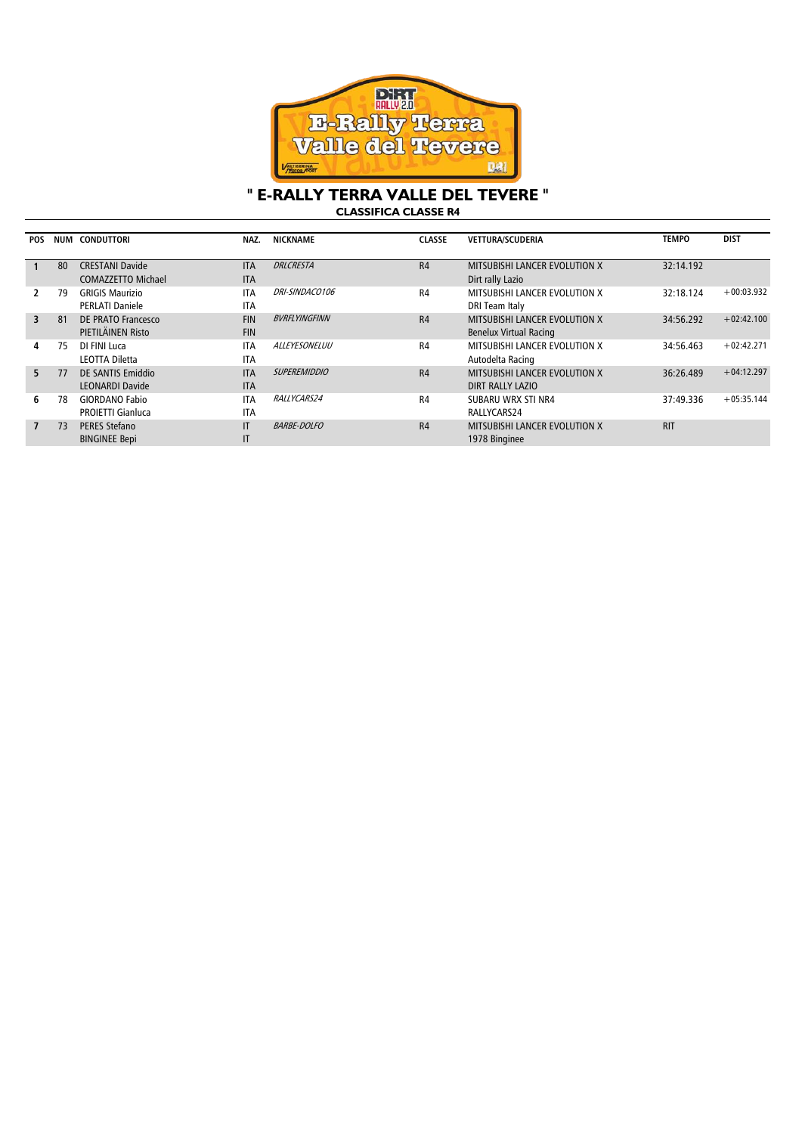

## **" E-RALLY TERRA VALLE DEL TEVERE " CLASSIFICA CLASSE R4**

| <b>POS</b>              | NUM | <b>CONDUTTORI</b>        | NAZ.       | <b>NICKNAME</b>      | <b>CLASSE</b>  | <b>VETTURA/SCUDERIA</b>       | <b>TEMPO</b> | <b>DIST</b>  |
|-------------------------|-----|--------------------------|------------|----------------------|----------------|-------------------------------|--------------|--------------|
|                         |     |                          |            |                      |                |                               |              |              |
|                         | 80  | <b>CRESTANI Davide</b>   | <b>ITA</b> | <b>DRLCRESTA</b>     | R4             | MITSUBISHI LANCER EVOLUTION X | 32:14.192    |              |
|                         |     | COMAZZETTO Michael       | <b>ITA</b> |                      |                | Dirt rally Lazio              |              |              |
| $\mathcal{P}$           | 79  | <b>GRIGIS Maurizio</b>   | <b>ITA</b> | DRI-SINDACO106       | R <sub>4</sub> | MITSUBISHI LANCER EVOLUTION X | 32:18.124    | $+00:03.932$ |
|                         |     | <b>PERLATI Daniele</b>   | <b>ITA</b> |                      |                | DRI Team Italy                |              |              |
| $\overline{\mathbf{3}}$ | 81  | DE PRATO Francesco       | <b>FIN</b> | <b>BVRFLYINGFINN</b> | R4             | MITSUBISHI LANCER EVOLUTION X | 34:56.292    | $+02:42.100$ |
|                         |     | PIETILÄINEN Risto        | <b>FIN</b> |                      |                | <b>Benelux Virtual Racing</b> |              |              |
| 4                       | 75  | DI FINI Luca             | <b>ITA</b> | <i>ALLEYESONELUU</i> | R <sub>4</sub> | MITSUBISHI LANCER EVOLUTION X | 34:56.463    | $+02:42.271$ |
|                         |     | LEOTTA Diletta           | <b>ITA</b> |                      |                | Autodelta Racing              |              |              |
| 5.                      | 77  | DE SANTIS Emiddio        | <b>ITA</b> | <b>SUPEREMIDDIO</b>  | R4             | MITSUBISHI LANCER EVOLUTION X | 36:26.489    | $+04:12.297$ |
|                         |     | <b>LEONARDI Davide</b>   | <b>ITA</b> |                      |                | DIRT RALLY LAZIO              |              |              |
| 6                       | 78  | <b>GIORDANO Fabio</b>    | <b>ITA</b> | RALLYCARS24          | R4             | SUBARU WRX STI NR4            | 37:49.336    | $+05:35.144$ |
|                         |     | <b>PROJETTI Gianluca</b> | <b>ITA</b> |                      |                | RALLYCARS24                   |              |              |
| $\overline{7}$          | 73  | <b>PERES Stefano</b>     | ΙT         | <b>BARBE-DOLFO</b>   | R4             | MITSUBISHI LANCER EVOLUTION X | <b>RIT</b>   |              |
|                         |     | <b>BINGINEE Bepi</b>     | IT         |                      |                | 1978 Binginee                 |              |              |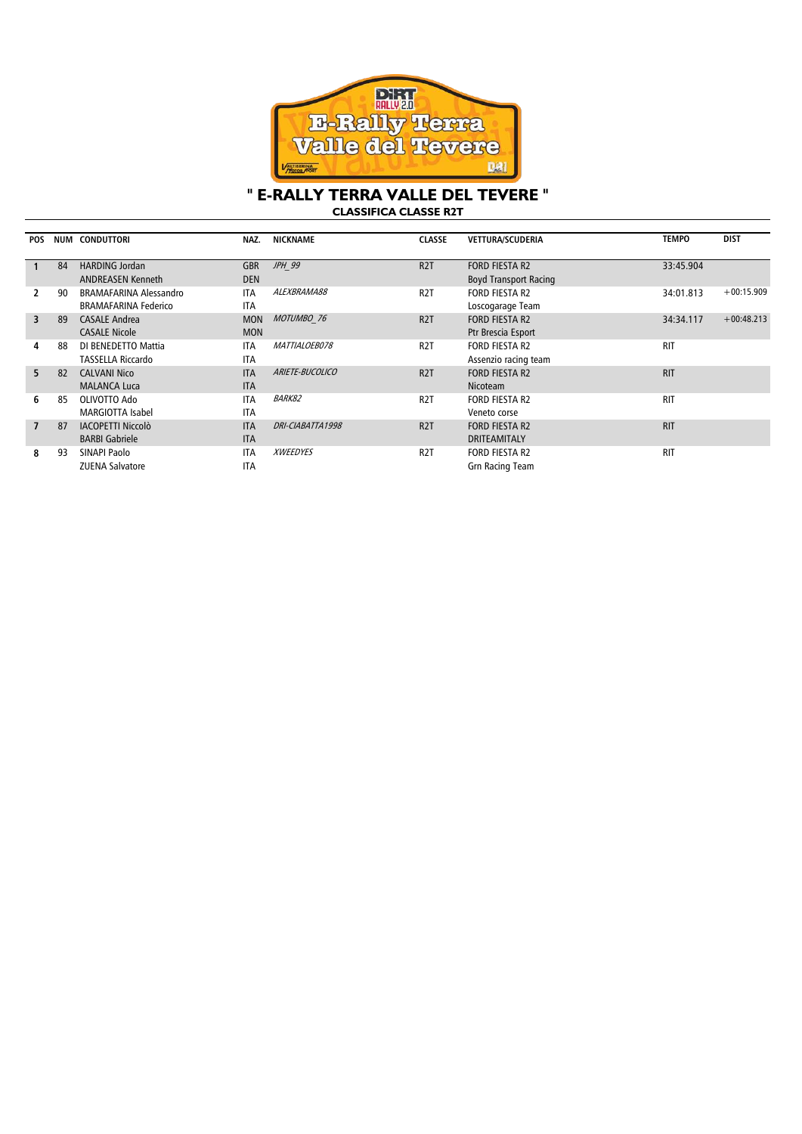

## **" E-RALLY TERRA VALLE DEL TEVERE " CLASSIFICA CLASSE R2T**

| <b>POS</b>              |    | NUM CONDUTTORI                | NAZ.       | <b>NICKNAME</b>  | <b>CLASSE</b>    | <b>VETTURA/SCUDERIA</b>      | <b>TEMPO</b> | <b>DIST</b>  |
|-------------------------|----|-------------------------------|------------|------------------|------------------|------------------------------|--------------|--------------|
|                         |    |                               |            |                  |                  |                              |              |              |
|                         | 84 | <b>HARDING Jordan</b>         | <b>GBR</b> | JPH 99           | R <sub>2</sub> T | <b>FORD FIESTA R2</b>        | 33:45.904    |              |
|                         |    | <b>ANDREASEN Kenneth</b>      | <b>DEN</b> |                  |                  | <b>Boyd Transport Racing</b> |              |              |
| 2                       | 90 | <b>BRAMAFARINA Alessandro</b> | <b>ITA</b> | ALEXBRAMA88      | R <sub>2</sub> T | <b>FORD FIESTA R2</b>        | 34:01.813    | $+00:15.909$ |
|                         |    | <b>BRAMAFARINA Federico</b>   | <b>ITA</b> |                  |                  | Loscogarage Team             |              |              |
| $\overline{\mathbf{3}}$ | 89 | <b>CASALE Andrea</b>          | <b>MON</b> | MOTUMBO 76       | R <sub>2</sub> T | <b>FORD FIESTA R2</b>        | 34:34.117    | $+00:48.213$ |
|                         |    | <b>CASALE Nicole</b>          | <b>MON</b> |                  |                  | Ptr Brescia Esport           |              |              |
| 4                       | 88 | DI BENEDETTO Mattia           | <b>ITA</b> | MATTIALOEB078    | R <sub>2</sub> T | <b>FORD FIESTA R2</b>        | <b>RIT</b>   |              |
|                         |    | <b>TASSELLA Riccardo</b>      | <b>ITA</b> |                  |                  | Assenzio racing team         |              |              |
| 5.                      | 82 | <b>CALVANI Nico</b>           | <b>ITA</b> | ARIETE-BUCOLICO  | R <sub>2</sub> T | <b>FORD FIESTA R2</b>        | <b>RIT</b>   |              |
|                         |    | <b>MALANCA Luca</b>           | <b>ITA</b> |                  |                  | Nicoteam                     |              |              |
| 6                       | 85 | OLIVOTTO Ado                  | <b>ITA</b> | <b>BARK82</b>    | R <sub>2</sub> T | <b>FORD FIESTA R2</b>        | <b>RIT</b>   |              |
|                         |    | <b>MARGIOTTA Isabel</b>       | <b>ITA</b> |                  |                  | Veneto corse                 |              |              |
| $\overline{7}$          | 87 | <b>IACOPETTI Niccolò</b>      | <b>ITA</b> | DRI-CIABATTA1998 | R <sub>2</sub> T | <b>FORD FIESTA R2</b>        | <b>RIT</b>   |              |
|                         |    | <b>BARBI Gabriele</b>         | <b>ITA</b> |                  |                  | <b>DRITEAMITALY</b>          |              |              |
| 8                       | 93 | SINAPI Paolo                  | <b>ITA</b> | <b>XWEEDYES</b>  | R <sub>2</sub> T | <b>FORD FIESTA R2</b>        | <b>RIT</b>   |              |
|                         |    | <b>ZUENA Salvatore</b>        | <b>ITA</b> |                  |                  | <b>Grn Racing Team</b>       |              |              |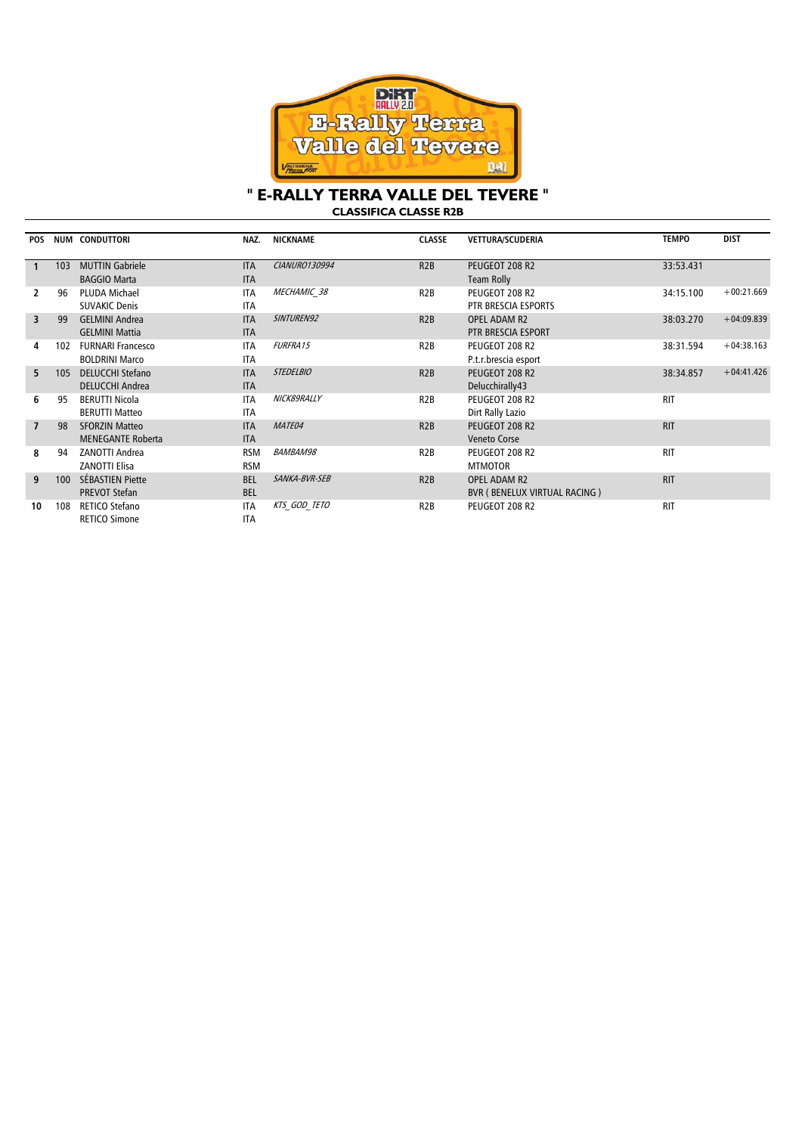

## **" E-RALLY TERRA VALLE DEL TEVERE " CLASSIFICA CLASSE R2B**

| <b>POS</b>     | <b>NUM</b> | <b>CONDUTTORI</b>        | NAZ.       | <b>NICKNAME</b>  | <b>CLASSE</b>    | <b>VETTURA/SCUDERIA</b>      | <b>TEMPO</b> | <b>DIST</b>  |
|----------------|------------|--------------------------|------------|------------------|------------------|------------------------------|--------------|--------------|
|                | 103        | <b>MUTTIN Gabriele</b>   | <b>ITA</b> | CIANURO130994    | R2B              | PEUGEOT 208 R2               | 33:53.431    |              |
|                |            | <b>BAGGIO Marta</b>      | <b>ITA</b> |                  |                  | Team Rolly                   |              |              |
| 2              | 96         | <b>PLUDA Michael</b>     | <b>ITA</b> | MECHAMIC 38      | R <sub>2</sub> B | PEUGEOT 208 R2               | 34:15.100    | $+00:21.669$ |
|                |            | <b>SUVAKIC Denis</b>     | <b>ITA</b> |                  |                  | PTR BRESCIA ESPORTS          |              |              |
| 3              | 99         | <b>GELMINI Andrea</b>    | <b>ITA</b> | SINTUREN92       | R2B              | <b>OPEL ADAM R2</b>          | 38:03.270    | $+04:09.839$ |
|                |            | <b>GELMINI Mattia</b>    | <b>ITA</b> |                  |                  | PTR BRESCIA ESPORT           |              |              |
| 4              | 102        | <b>FURNARI Francesco</b> | <b>ITA</b> | <b>FURFRA15</b>  | R <sub>2</sub> B | PEUGEOT 208 R2               | 38:31.594    | $+04:38.163$ |
|                |            | <b>BOLDRINI Marco</b>    | <b>ITA</b> |                  |                  | P.t.r.brescia esport         |              |              |
| 5.             | 105        | <b>DELUCCHI Stefano</b>  | <b>ITA</b> | <b>STEDELBIO</b> | R2B              | PEUGEOT 208 R2               | 38:34.857    | $+04:41.426$ |
|                |            | <b>DELUCCHI Andrea</b>   | <b>ITA</b> |                  |                  | Delucchirally43              |              |              |
| 6              | 95         | <b>BERUTTI Nicola</b>    | <b>ITA</b> | NICK89RALLY      | R <sub>2</sub> B | PEUGEOT 208 R2               | <b>RIT</b>   |              |
|                |            | <b>BERUTTI Matteo</b>    | <b>ITA</b> |                  |                  | Dirt Rally Lazio             |              |              |
| $\overline{7}$ | 98         | <b>SFORZIN Matteo</b>    | <b>ITA</b> | MATE04           | R2B              | PEUGEOT 208 R2               | <b>RIT</b>   |              |
|                |            | <b>MENEGANTE Roberta</b> | <b>ITA</b> |                  |                  | <b>Veneto Corse</b>          |              |              |
| 8              | 94         | <b>ZANOTTI Andrea</b>    | <b>RSM</b> | <b>BAMBAM98</b>  | R <sub>2</sub> B | PEUGEOT 208 R2               | <b>RIT</b>   |              |
|                |            | <b>ZANOTTI Elisa</b>     | <b>RSM</b> |                  |                  | <b>MTMOTOR</b>               |              |              |
| 9              | 100        | <b>SÉBASTIEN Piette</b>  | <b>BEL</b> | SANKA-BVR-SEB    | R2B              | <b>OPEL ADAM R2</b>          | <b>RIT</b>   |              |
|                |            | <b>PREVOT Stefan</b>     | <b>BEL</b> |                  |                  | BVR (BENELUX VIRTUAL RACING) |              |              |
| 10             | 108        | RETICO Stefano           | <b>ITA</b> | KTS GOD TETO     | R <sub>2</sub> B | PEUGEOT 208 R2               | <b>RIT</b>   |              |
|                |            | <b>RETICO Simone</b>     | <b>ITA</b> |                  |                  |                              |              |              |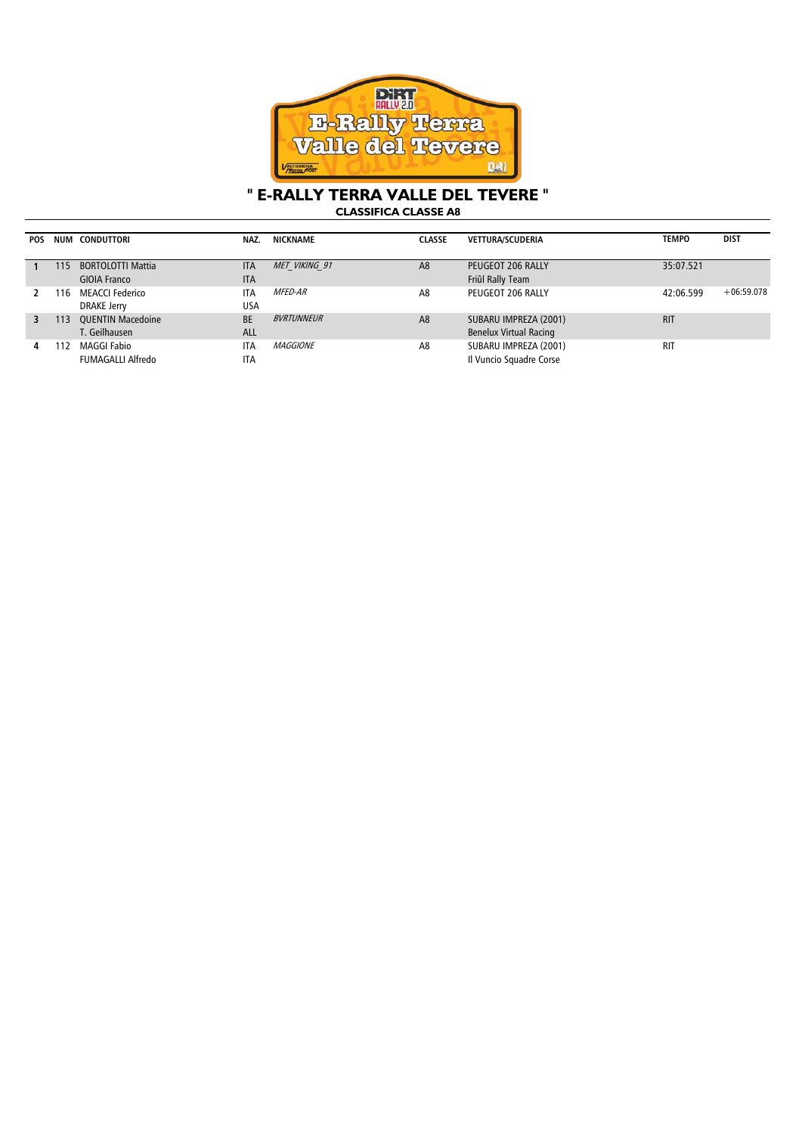

## **" E-RALLY TERRA VALLE DEL TEVERE "**

**CLASSIFICA CLASSE A8**

| <b>POS</b> |     | NUM CONDUTTORI           | NAZ.       | NICKNAME        | <b>CLASSE</b>  | <b>VETTURA/SCUDERIA</b>       | <b>TEMPO</b> | <b>DIST</b>  |
|------------|-----|--------------------------|------------|-----------------|----------------|-------------------------------|--------------|--------------|
|            |     |                          |            |                 |                |                               |              |              |
|            | 115 | <b>BORTOLOTTI Mattia</b> | <b>ITA</b> | MET VIKING 91   | A <sub>8</sub> | PEUGEOT 206 RALLY             | 35:07.521    |              |
|            |     | GIOIA Franco             | <b>ITA</b> |                 |                | Friûl Rally Team              |              |              |
|            | ำ6  | <b>MEACCI Federico</b>   | <b>ITA</b> | <i>MFED-AR</i>  | A8             | PEUGEOT 206 RALLY             | 42:06.599    | $+06:59.078$ |
|            |     | DRAKE Jerry              | <b>USA</b> |                 |                |                               |              |              |
| 3          | 113 | <b>OUENTIN Macedoine</b> | <b>BE</b>  | BVRTUNNEUR      | A <sub>8</sub> | SUBARU IMPREZA (2001)         | <b>RIT</b>   |              |
|            |     | T. Geilhausen            | ALL        |                 |                | <b>Benelux Virtual Racing</b> |              |              |
| 4          | 12  | <b>MAGGI Fabio</b>       | <b>ITA</b> | <i>MAGGIONE</i> | A8             | SUBARU IMPREZA (2001)         | <b>RIT</b>   |              |
|            |     | FUMAGALLI Alfredo        | <b>ITA</b> |                 |                | Il Vuncio Squadre Corse       |              |              |